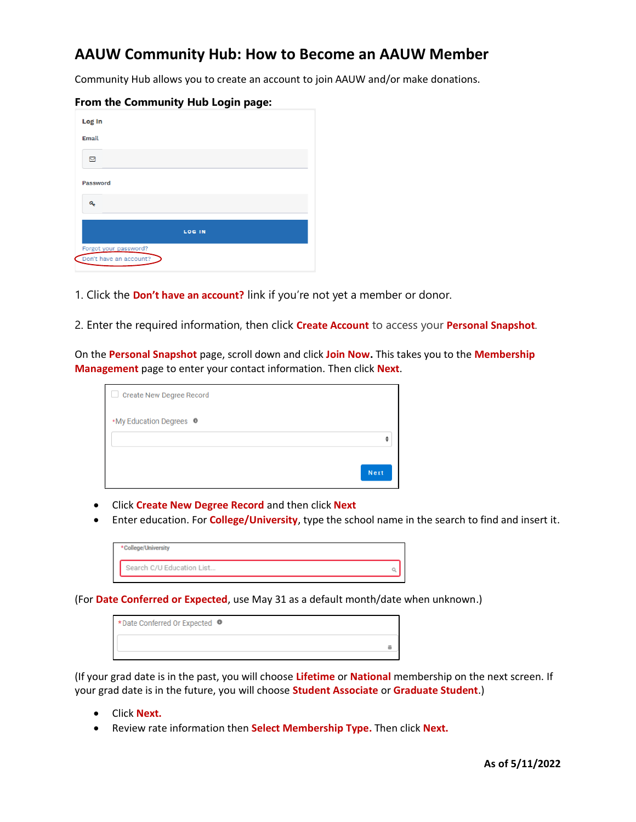## **AAUW Community Hub: How to Become an AAUW Member**

Community Hub allows you to create an account to join AAUW and/or make donations.

| Log In                                          |               |
|-------------------------------------------------|---------------|
| Email                                           |               |
| ⊠                                               |               |
| Password                                        |               |
| Q.                                              |               |
|                                                 | <b>LOG IN</b> |
| Forgot your password?<br>Don't have an account? |               |

## **From the Community Hub Login page:**

1. Click the **Don't have an account?** link if you're not yet a member or donor.

2. Enter the required information, then click **Create Account** to access your **Personal Snapshot**.

On the **Personal Snapshot** page, scroll down and click **Join Now.** This takes you to the **Membership Management** page to enter your contact information. Then click **Next**.

| <b>Create New Degree Record</b>    |      |
|------------------------------------|------|
| *My Education Degrees <sup>O</sup> |      |
|                                    |      |
|                                    | Next |

- Click **Create New Degree Record** and then click **Next**
- Enter education. For **College/University**, type the school name in the search to find and insert it.

| * College/University      |  |
|---------------------------|--|
| Search C/U Education List |  |
|                           |  |

(For **Date Conferred or Expected**, use May 31 as a default month/date when unknown.)

| *Date Conferred Or Expected <sup>O</sup> |  |
|------------------------------------------|--|
|                                          |  |
|                                          |  |

(If your grad date is in the past, you will choose **Lifetime** or **National** membership on the next screen. If your grad date is in the future, you will choose **Student Associate** or **Graduate Student**.)

- Click **Next.**
- Review rate information then **Select Membership Type.** Then click **Next.**